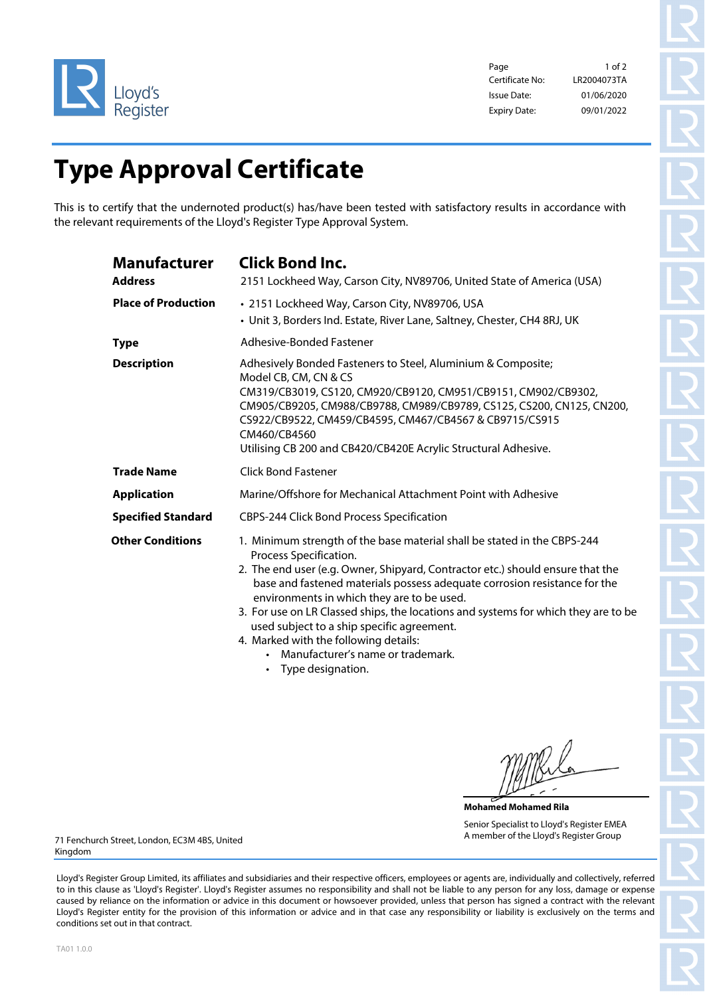

Page 1 of 2 Certificate No: Issue Date: Expiry Date: 09/01/2022 01/06/2020 LR2004073TA

## **Type Approval Certificate**

This is to certify that the undernoted product(s) has/have been tested with satisfactory results in accordance with the relevant requirements of the Lloyd's Register Type Approval System.

| <b>Manufacturer</b><br><b>Address</b> | <b>Click Bond Inc.</b><br>2151 Lockheed Way, Carson City, NV89706, United State of America (USA)                                                                                                                                                                                                                                                                                                                                                                                                                                                      |
|---------------------------------------|-------------------------------------------------------------------------------------------------------------------------------------------------------------------------------------------------------------------------------------------------------------------------------------------------------------------------------------------------------------------------------------------------------------------------------------------------------------------------------------------------------------------------------------------------------|
| <b>Place of Production</b>            | • 2151 Lockheed Way, Carson City, NV89706, USA<br>• Unit 3, Borders Ind. Estate, River Lane, Saltney, Chester, CH4 8RJ, UK                                                                                                                                                                                                                                                                                                                                                                                                                            |
| <b>Type</b>                           | Adhesive-Bonded Fastener                                                                                                                                                                                                                                                                                                                                                                                                                                                                                                                              |
| <b>Description</b>                    | Adhesively Bonded Fasteners to Steel, Aluminium & Composite;<br>Model CB, CM, CN & CS<br>CM319/CB3019, CS120, CM920/CB9120, CM951/CB9151, CM902/CB9302,<br>CM905/CB9205, CM988/CB9788, CM989/CB9789, CS125, CS200, CN125, CN200,<br>CS922/CB9522, CM459/CB4595, CM467/CB4567 & CB9715/CS915<br>CM460/CB4560<br>Utilising CB 200 and CB420/CB420E Acrylic Structural Adhesive.                                                                                                                                                                         |
| <b>Trade Name</b>                     | <b>Click Bond Fastener</b>                                                                                                                                                                                                                                                                                                                                                                                                                                                                                                                            |
| <b>Application</b>                    | Marine/Offshore for Mechanical Attachment Point with Adhesive                                                                                                                                                                                                                                                                                                                                                                                                                                                                                         |
| <b>Specified Standard</b>             | CBPS-244 Click Bond Process Specification                                                                                                                                                                                                                                                                                                                                                                                                                                                                                                             |
| <b>Other Conditions</b>               | 1. Minimum strength of the base material shall be stated in the CBPS-244<br>Process Specification.<br>2. The end user (e.g. Owner, Shipyard, Contractor etc.) should ensure that the<br>base and fastened materials possess adequate corrosion resistance for the<br>environments in which they are to be used.<br>3. For use on LR Classed ships, the locations and systems for which they are to be<br>used subject to a ship specific agreement.<br>4. Marked with the following details:<br>Manufacturer's name or trademark.<br>Tuno docianation |

**Type designation.** 

**Mohamed Mohamed Rila** Senior Specialist to Lloyd's Register EMEA A member of the Lloyd's Register Group

71 Fenchurch Street, London, EC3M 4BS, United Kingdom

Lloyd's Register Group Limited, its affiliates and subsidiaries and their respective officers, employees or agents are, individually and collectively, referred to in this clause as 'Lloyd's Register'. Lloyd's Register assumes no responsibility and shall not be liable to any person for any loss, damage or expense caused by reliance on the information or advice in this document or howsoever provided, unless that person has signed a contract with the relevant Lloyd's Register entity for the provision of this information or advice and in that case any responsibility or liability is exclusively on the terms and conditions set out in that contract.